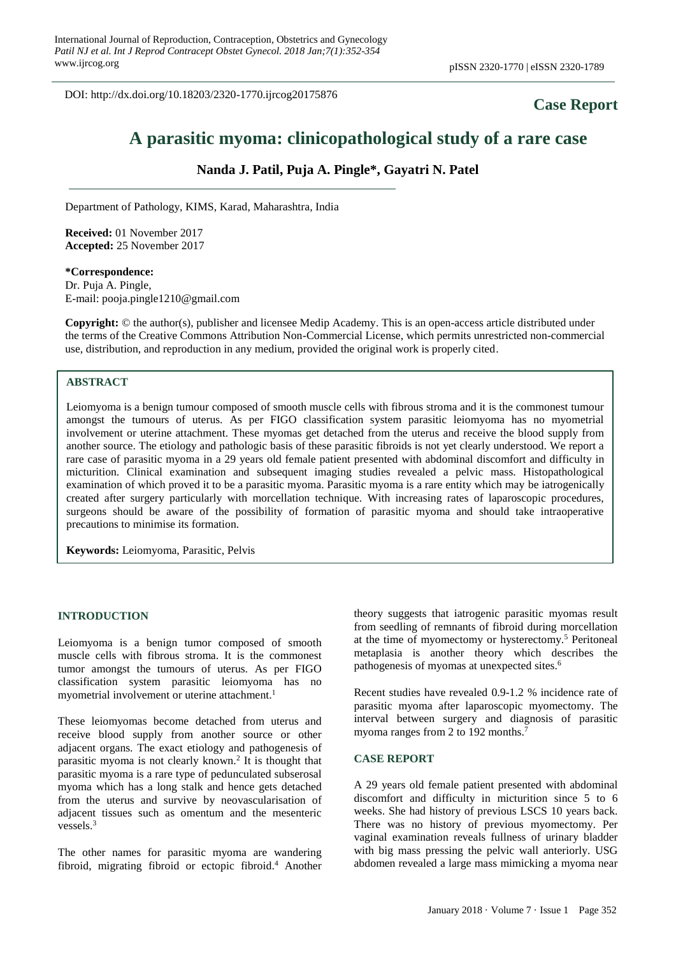DOI: http://dx.doi.org/10.18203/2320-1770.ijrcog20175876

# **Case Report**

# **A parasitic myoma: clinicopathological study of a rare case**

# **Nanda J. Patil, Puja A. Pingle\*, Gayatri N. Patel**

Department of Pathology, KIMS, Karad, Maharashtra, India

**Received:** 01 November 2017 **Accepted:** 25 November 2017

#### **\*Correspondence:**

Dr. Puja A. Pingle, E-mail: pooja.pingle1210@gmail.com

**Copyright:** © the author(s), publisher and licensee Medip Academy. This is an open-access article distributed under the terms of the Creative Commons Attribution Non-Commercial License, which permits unrestricted non-commercial use, distribution, and reproduction in any medium, provided the original work is properly cited.

# **ABSTRACT**

Leiomyoma is a benign tumour composed of smooth muscle cells with fibrous stroma and it is the commonest tumour amongst the tumours of uterus. As per FIGO classification system parasitic leiomyoma has no myometrial involvement or uterine attachment. These myomas get detached from the uterus and receive the blood supply from another source. The etiology and pathologic basis of these parasitic fibroids is not yet clearly understood. We report a rare case of parasitic myoma in a 29 years old female patient presented with abdominal discomfort and difficulty in micturition. Clinical examination and subsequent imaging studies revealed a pelvic mass. Histopathological examination of which proved it to be a parasitic myoma. Parasitic myoma is a rare entity which may be iatrogenically created after surgery particularly with morcellation technique. With increasing rates of laparoscopic procedures, surgeons should be aware of the possibility of formation of parasitic myoma and should take intraoperative precautions to minimise its formation.

**Keywords:** Leiomyoma, Parasitic, Pelvis

# **INTRODUCTION**

Leiomyoma is a benign tumor composed of smooth muscle cells with fibrous stroma. It is the commonest tumor amongst the tumours of uterus. As per FIGO classification system parasitic leiomyoma has no myometrial involvement or uterine attachment.<sup>1</sup>

These leiomyomas become detached from uterus and receive blood supply from another source or other adjacent organs. The exact etiology and pathogenesis of parasitic myoma is not clearly known.<sup>2</sup> It is thought that parasitic myoma is a rare type of pedunculated subserosal myoma which has a long stalk and hence gets detached from the uterus and survive by neovascularisation of adjacent tissues such as omentum and the mesenteric vessels.<sup>3</sup>

The other names for parasitic myoma are wandering fibroid, migrating fibroid or ectopic fibroid.<sup>4</sup> Another theory suggests that iatrogenic parasitic myomas result from seedling of remnants of fibroid during morcellation at the time of myomectomy or hysterectomy.<sup>5</sup> Peritoneal metaplasia is another theory which describes the pathogenesis of myomas at unexpected sites.<sup>6</sup>

Recent studies have revealed 0.9-1.2 % incidence rate of parasitic myoma after laparoscopic myomectomy. The interval between surgery and diagnosis of parasitic myoma ranges from 2 to 192 months.<sup>7</sup>

#### **CASE REPORT**

A 29 years old female patient presented with abdominal discomfort and difficulty in micturition since 5 to 6 weeks. She had history of previous LSCS 10 years back. There was no history of previous myomectomy. Per vaginal examination reveals fullness of urinary bladder with big mass pressing the pelvic wall anteriorly. USG abdomen revealed a large mass mimicking a myoma near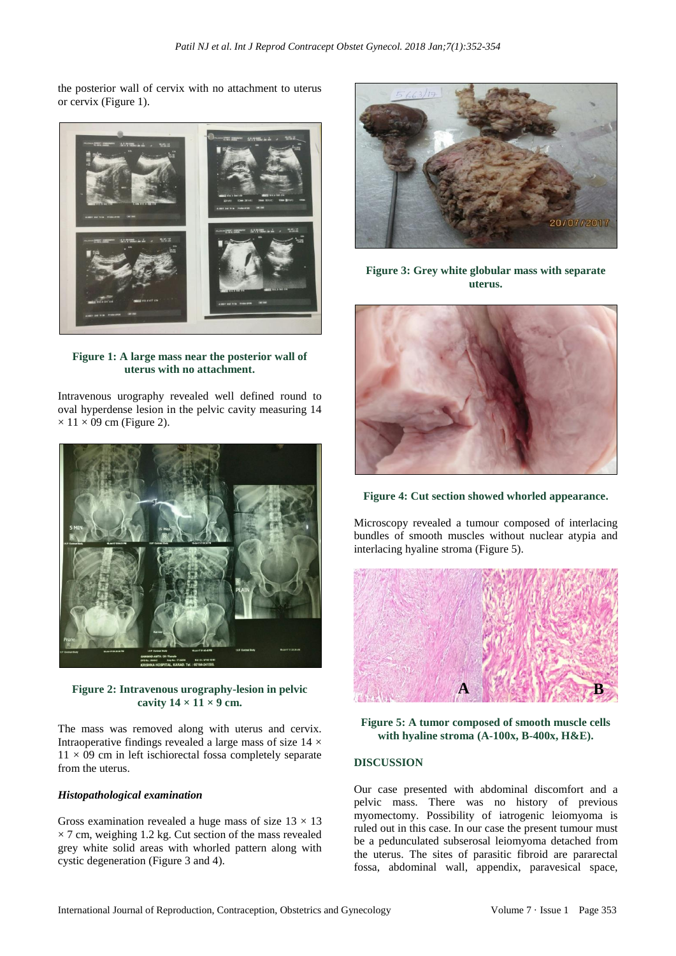the posterior wall of cervix with no attachment to uterus or cervix (Figure 1).



**Figure 1: A large mass near the posterior wall of uterus with no attachment.**

Intravenous urography revealed well defined round to oval hyperdense lesion in the pelvic cavity measuring 14  $\times$  11  $\times$  09 cm (Figure 2).



**Figure 2: Intravenous urography-lesion in pelvic cavity**  $14 \times 11 \times 9$  cm.

The mass was removed along with uterus and cervix. Intraoperative findings revealed a large mass of size  $14 \times$  $11 \times 09$  cm in left ischiorectal fossa completely separate from the uterus.

# *Histopathological examination*

Gross examination revealed a huge mass of size  $13 \times 13$  $\times$  7 cm, weighing 1.2 kg. Cut section of the mass revealed grey white solid areas with whorled pattern along with cystic degeneration (Figure 3 and 4).



**Figure 3: Grey white globular mass with separate uterus.**



**Figure 4: Cut section showed whorled appearance.**

Microscopy revealed a tumour composed of interlacing bundles of smooth muscles without nuclear atypia and interlacing hyaline stroma (Figure 5).



**Figure 5: A tumor composed of smooth muscle cells with hyaline stroma (A-100x, B-400x, H&E).**

#### **DISCUSSION**

Our case presented with abdominal discomfort and a pelvic mass. There was no history of previous myomectomy. Possibility of iatrogenic leiomyoma is ruled out in this case. In our case the present tumour must be a pedunculated subserosal leiomyoma detached from the uterus. The sites of parasitic fibroid are pararectal fossa, abdominal wall, appendix, paravesical space,